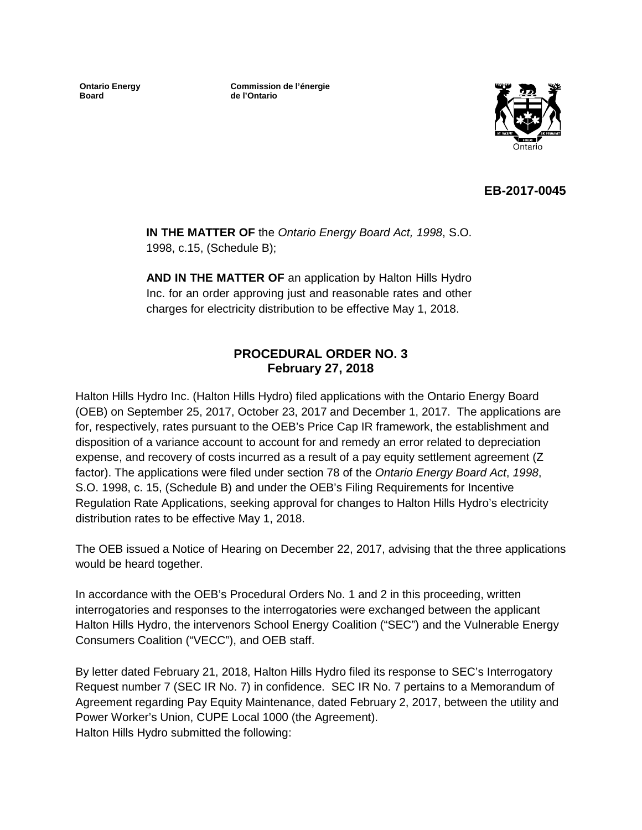**Ontario Energy Board**

**Commission de l'énergie de l'Ontario**



## **EB-2017-0045**

**IN THE MATTER OF** the *Ontario Energy Board Act, 1998*, S.O. 1998, c.15, (Schedule B);

**AND IN THE MATTER OF** an application by Halton Hills Hydro Inc. for an order approving just and reasonable rates and other charges for electricity distribution to be effective May 1, 2018.

### **PROCEDURAL ORDER NO. 3 February 27, 2018**

Halton Hills Hydro Inc. (Halton Hills Hydro) filed applications with the Ontario Energy Board (OEB) on September 25, 2017, October 23, 2017 and December 1, 2017. The applications are for, respectively, rates pursuant to the OEB's Price Cap IR framework, the establishment and disposition of a variance account to account for and remedy an error related to depreciation expense, and recovery of costs incurred as a result of a pay equity settlement agreement (Z factor). The applications were filed under section 78 of the *Ontario Energy Board Act*, *1998*, S.O. 1998, c. 15, (Schedule B) and under the OEB's Filing Requirements for Incentive Regulation Rate Applications, seeking approval for changes to Halton Hills Hydro's electricity distribution rates to be effective May 1, 2018.

The OEB issued a Notice of Hearing on December 22, 2017, advising that the three applications would be heard together.

In accordance with the OEB's Procedural Orders No. 1 and 2 in this proceeding, written interrogatories and responses to the interrogatories were exchanged between the applicant Halton Hills Hydro, the intervenors School Energy Coalition ("SEC") and the Vulnerable Energy Consumers Coalition ("VECC"), and OEB staff.

By letter dated February 21, 2018, Halton Hills Hydro filed its response to SEC's Interrogatory Request number 7 (SEC IR No. 7) in confidence. SEC IR No. 7 pertains to a Memorandum of Agreement regarding Pay Equity Maintenance, dated February 2, 2017, between the utility and Power Worker's Union, CUPE Local 1000 (the Agreement). Halton Hills Hydro submitted the following: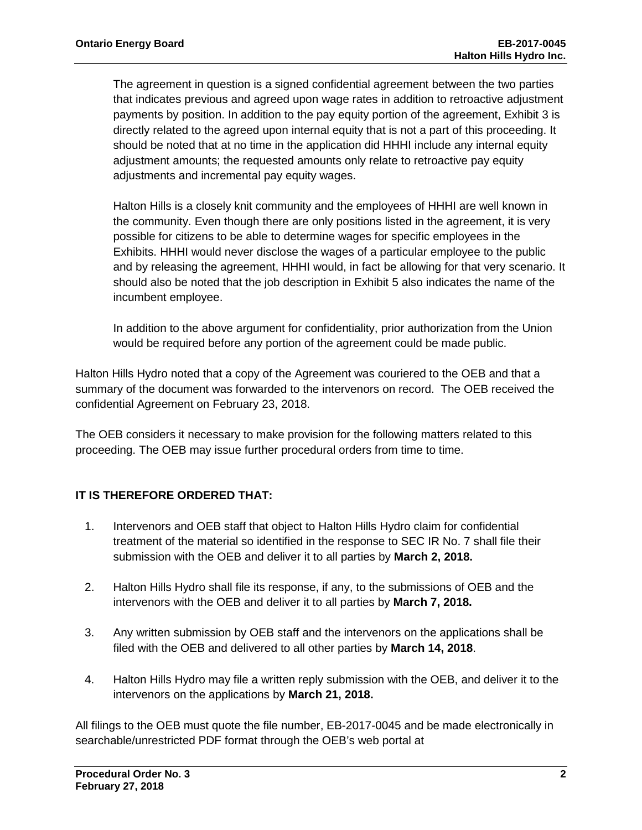The agreement in question is a signed confidential agreement between the two parties that indicates previous and agreed upon wage rates in addition to retroactive adjustment payments by position. In addition to the pay equity portion of the agreement, Exhibit 3 is directly related to the agreed upon internal equity that is not a part of this proceeding. It should be noted that at no time in the application did HHHI include any internal equity adjustment amounts; the requested amounts only relate to retroactive pay equity adjustments and incremental pay equity wages.

Halton Hills is a closely knit community and the employees of HHHI are well known in the community. Even though there are only positions listed in the agreement, it is very possible for citizens to be able to determine wages for specific employees in the Exhibits. HHHI would never disclose the wages of a particular employee to the public and by releasing the agreement, HHHI would, in fact be allowing for that very scenario. It should also be noted that the job description in Exhibit 5 also indicates the name of the incumbent employee.

In addition to the above argument for confidentiality, prior authorization from the Union would be required before any portion of the agreement could be made public.

Halton Hills Hydro noted that a copy of the Agreement was couriered to the OEB and that a summary of the document was forwarded to the intervenors on record. The OEB received the confidential Agreement on February 23, 2018.

The OEB considers it necessary to make provision for the following matters related to this proceeding. The OEB may issue further procedural orders from time to time.

## **IT IS THEREFORE ORDERED THAT:**

- 1. Intervenors and OEB staff that object to Halton Hills Hydro claim for confidential treatment of the material so identified in the response to SEC IR No. 7 shall file their submission with the OEB and deliver it to all parties by **March 2, 2018.**
- 2. Halton Hills Hydro shall file its response, if any, to the submissions of OEB and the intervenors with the OEB and deliver it to all parties by **March 7, 2018.**
- 3. Any written submission by OEB staff and the intervenors on the applications shall be filed with the OEB and delivered to all other parties by **March 14, 2018**.
- 4. Halton Hills Hydro may file a written reply submission with the OEB, and deliver it to the intervenors on the applications by **March 21, 2018.**

All filings to the OEB must quote the file number, EB-2017-0045 and be made electronically in searchable/unrestricted PDF format through the OEB's web portal at